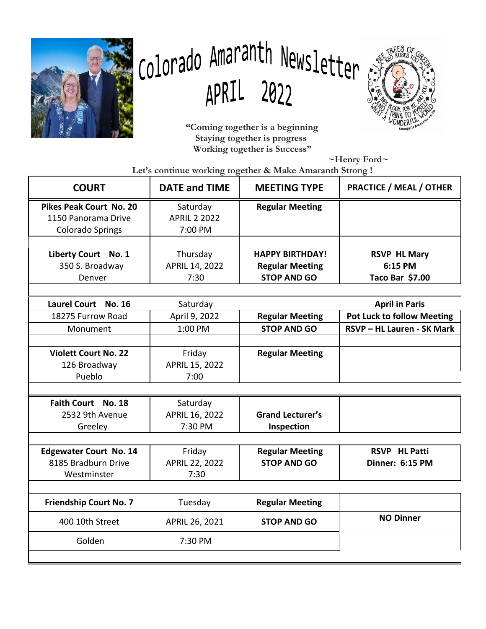

# Colorado Amaranth Newsletter APRIL 2022



 **"Coming together is a beginning Staying together is progress Working together is Success"**

 **~Henry Ford~**

 **Let's continue working together & Make Amaranth Strong !**

| <b>COURT</b>                   | <b>DATE and TIME</b> | <b>MEETING TYPE</b>     | <b>PRACTICE / MEAL / OTHER</b>    |
|--------------------------------|----------------------|-------------------------|-----------------------------------|
| <b>Pikes Peak Court No. 20</b> | Saturday             | <b>Regular Meeting</b>  |                                   |
| 1150 Panorama Drive            | <b>APRIL 2 2022</b>  |                         |                                   |
| <b>Colorado Springs</b>        | 7:00 PM              |                         |                                   |
|                                |                      |                         |                                   |
| Liberty Court No. 1            | Thursday             | <b>HAPPY BIRTHDAY!</b>  | <b>RSVP HL Mary</b>               |
| 350 S. Broadway                | APRIL 14, 2022       | <b>Regular Meeting</b>  | 6:15 PM                           |
| Denver                         | 7:30                 | <b>STOP AND GO</b>      | Taco Bar \$7.00                   |
|                                |                      |                         |                                   |
| Laurel Court No. 16            | Saturday             |                         | <b>April in Paris</b>             |
| 18275 Furrow Road              | April 9, 2022        | <b>Regular Meeting</b>  | <b>Pot Luck to follow Meeting</b> |
| Monument                       | 1:00 PM              | <b>STOP AND GO</b>      | RSVP - HL Lauren - SK Mark        |
|                                |                      |                         |                                   |
| <b>Violett Court No. 22</b>    | Friday               | <b>Regular Meeting</b>  |                                   |
| 126 Broadway                   | APRIL 15, 2022       |                         |                                   |
| Pueblo                         | 7:00                 |                         |                                   |
|                                |                      |                         |                                   |
| Faith Court No. 18             | Saturday             |                         |                                   |
| 2532 9th Avenue                | APRIL 16, 2022       | <b>Grand Lecturer's</b> |                                   |
| Greeley                        | 7:30 PM              | Inspection              |                                   |
|                                |                      |                         |                                   |
| <b>Edgewater Court No. 14</b>  | Friday               | <b>Regular Meeting</b>  | <b>RSVP HL Patti</b>              |
| 8185 Bradburn Drive            | APRIL 22, 2022       | <b>STOP AND GO</b>      | Dinner: 6:15 PM                   |
| Westminster                    | 7:30                 |                         |                                   |
|                                |                      |                         |                                   |
| <b>Friendship Court No. 7</b>  | Tuesday              | <b>Regular Meeting</b>  |                                   |
| 400 10th Street                | APRIL 26, 2021       | <b>STOP AND GO</b>      | <b>NO Dinner</b>                  |
| Golden                         | 7:30 PM              |                         |                                   |
|                                |                      |                         |                                   |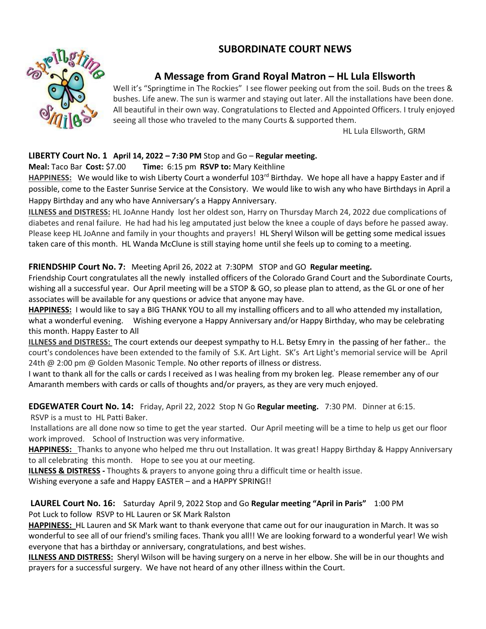# **SUBORDINATE COURT NEWS**



# **A Message from Grand Royal Matron – HL Lula Ellsworth**

Well it's "Springtime in The Rockies" I see flower peeking out from the soil. Buds on the trees & bushes. Life anew. The sun is warmer and staying out later. All the installations have been done. All beautiful in their own way. Congratulations to Elected and Appointed Officers. I truly enjoyed seeing all those who traveled to the many Courts & supported them.

HL Lula Ellsworth, GRM

# **LIBERTY Court No. 1 April 14, 2022 – 7:30 PM** Stop and Go – **Regular meeting.**

#### **Meal:** Taco Bar **Cost:** \$7.00 **Time:** 6:15 pm **RSVP to:** Mary Keithline

HAPPINESS: We would like to wish Liberty Court a wonderful 103<sup>rd</sup> Birthday. We hope all have a happy Easter and if possible, come to the Easter Sunrise Service at the Consistory. We would like to wish any who have Birthdays in April a Happy Birthday and any who have Anniversary's a Happy Anniversary.

**ILLNESS and DISTRESS:** HL JoAnne Handy lost her oldest son, Harry on Thursday March 24, 2022 due complications of diabetes and renal failure. He had had his leg amputated just below the knee a couple of days before he passed away. Please keep HL JoAnne and family in your thoughts and prayers! HL Sheryl Wilson will be getting some medical issues taken care of this month. HL Wanda McClune is still staying home until she feels up to coming to a meeting.

## **FRIENDSHIP Court No. 7:** Meeting April 26, 2022 at 7:30PM STOP and GO **Regular meeting.**

Friendship Court congratulates all the newly installed officers of the Colorado Grand Court and the Subordinate Courts, wishing all a successful year. Our April meeting will be a STOP & GO, so please plan to attend, as the GL or one of her associates will be available for any questions or advice that anyone may have.

**HAPPINESS:** I would like to say a BIG THANK YOU to all my installing officers and to all who attended my installation, what a wonderful evening. Wishing everyone a Happy Anniversary and/or Happy Birthday, who may be celebrating this month. Happy Easter to All

**ILLNESS and DISTRESS:** The court extends our deepest sympathy to H.L. Betsy Emry in the passing of her father.. the court's condolences have been extended to the family of S.K. Art Light. SK's Art Light's memorial service will be April 24th @ 2:00 pm @ Golden Masonic Temple. No other reports of illness or distress.

I want to thank all for the calls or cards I received as I was healing from my broken leg. Please remember any of our Amaranth members with cards or calls of thoughts and/or prayers, as they are very much enjoyed.

## **EDGEWATER Court No. 14:** Friday, April 22, 2022 Stop N Go **Regular meeting.** 7:30 PM. Dinner at 6:15.

RSVP is a must to HL Patti Baker.

Installations are all done now so time to get the year started. Our April meeting will be a time to help us get our floor work improved. School of Instruction was very informative.

**HAPPINESS:** Thanks to anyone who helped me thru out Installation. It was great! Happy Birthday & Happy Anniversary to all celebrating this month. Hope to see you at our meeting.

**ILLNESS & DISTRESS -** Thoughts & prayers to anyone going thru a difficult time or health issue.

Wishing everyone a safe and Happy EASTER – and a HAPPY SPRING!!

## **LAUREL Court No. 16:** Saturday April 9, 2022 Stop and Go **Regular meeting "April in Paris"** 1:00 PM Pot Luck to follow RSVP to HL Lauren or SK Mark Ralston

**HAPPINESS:** HL Lauren and SK Mark want to thank everyone that came out for our inauguration in March. It was so wonderful to see all of our friend's smiling faces. Thank you all!! We are looking forward to a wonderful year! We wish everyone that has a birthday or anniversary, congratulations, and best wishes.

**ILLNESS AND DISTRESS:** Sheryl Wilson will be having surgery on a nerve in her elbow. She will be in our thoughts and prayers for a successful surgery. We have not heard of any other illness within the Court.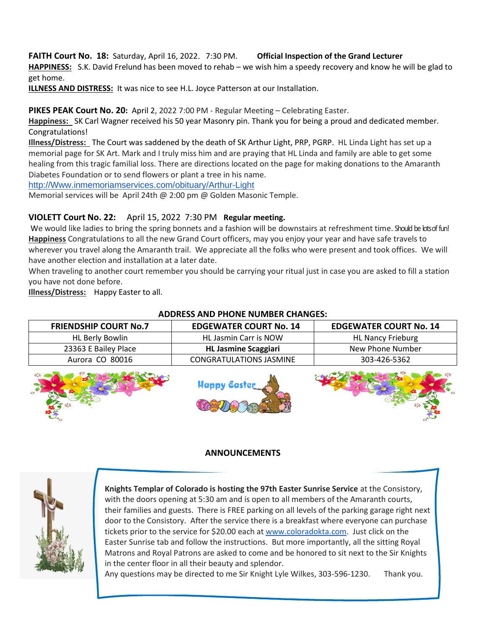#### **FAITH Court No. 18:** Saturday, April 16, 2022. 7:30 PM. **Official Inspection of the Grand Lecturer HAPPINESS:** S.K. David Frelund has been moved to rehab – we wish him a speedy recovery and know he will be glad to

get home.

**ILLNESS AND DISTRESS:** It was nice to see H.L. Joyce Patterson at our Installation.

# **PIKES PEAK Court No. 20:** April 2, 2022 7:00 PM - Regular Meeting – Celebrating Easter.

**Happiness:** SK Carl Wagner received his 50 year Masonry pin. Thank you for being a proud and dedicated member. Congratulations!

**Illness/Distress:** The Court was saddened by the death of SK Arthur Light, PRP, PGRP. HL Linda Light has set up a memorial page for SK Art. Mark and I truly miss him and are praying that HL Linda and family are able to get some healing from this tragic familial loss. There are directions located on the page for making donations to the Amaranth Diabetes Foundation or to send flowers or plant a tree in his name.

[http://Www.inmemoriamservices.com/obituary/Arthur-Light](http://www.inmemoriamservices.com/obituary/Arthur-Light)

Memorial services will be April 24th @ 2:00 pm @ Golden Masonic Temple.

# **VIOLETT Court No. 22:** April 15, 2022 7:30 PM **Regular meeting.**

We would like ladies to bring the spring bonnets and a fashion will be downstairs at refreshment time. Should be lots of fun! **Happiness** Congratulations to all the new Grand Court officers, may you enjoy your year and have safe travels to wherever you travel along the Amaranth trail. We appreciate all the folks who were present and took offices. We will have another election and installation at a later date.

When traveling to another court remember you should be carrying your ritual just in case you are asked to fill a station you have not done before.

**Illness/Distress:** Happy Easter to all.

# **FRIENDSHIP COURT No.7 EDGEWATER COURT No. 14 EDGEWATER COURT No. 14**  HL Berly Bowlin **HE Jasmin Carr is NOW HE Nancy Frieburg** 23363 E Bailey Place **HL Jasmine Scaggiari** New Phone Number Aurora CO 80016 | CONGRATULATIONS JASMINE | 303-426-5362 Janny Easte

# **ADDRESS AND PHONE NUMBER CHANGES:**

# **ANNOUNCEMENTS**



**Knights Templar of Colorado is hosting the 97th Easter Sunrise Service** at the Consistory, with the doors opening at 5:30 am and is open to all members of the Amaranth courts, their families and guests. There is FREE parking on all levels of the parking garage right next door to the Consistory. After the service there is a breakfast where everyone can purchase tickets prior to the service for \$20.00 each at [www.coloradokta.com.](http://www.coloradokta.com/) Just click on the Easter Sunrise tab and follow the instructions. But more importantly, all the sitting Royal Matrons and Royal Patrons are asked to come and be honored to sit next to the Sir Knights in the center floor in all their beauty and splendor.

Any questions may be directed to me Sir Knight Lyle Wilkes, 303-596-1230. Thank you.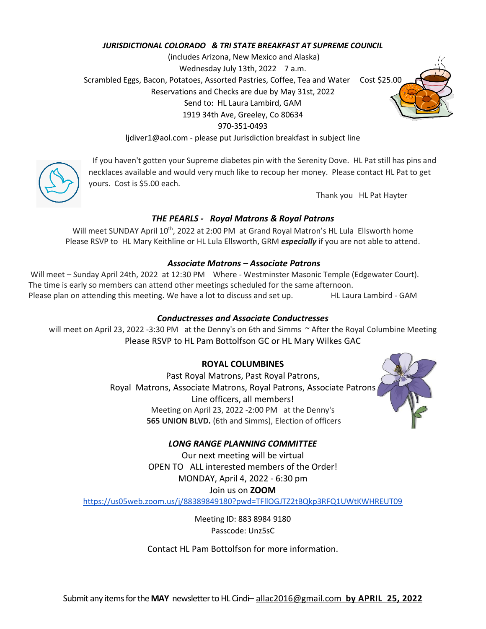#### *JURISDICTIONAL COLORADO & TRI STATE BREAKFAST AT SUPREME COUNCIL*

(includes Arizona, New Mexico and Alaska) Wednesday July 13th, 2022 7 a.m. Scrambled Eggs, Bacon, Potatoes, Assorted Pastries, Coffee, Tea and Water Cost \$25.00 Reservations and Checks are due by May 31st, 2022 Send to: HL Laura Lambird, GAM 1919 34th Ave, Greeley, Co 80634 970-351-0493

ljdiver1@aol.com - please put Jurisdiction breakfast in subject line



If you haven't gotten your Supreme diabetes pin with the Serenity Dove. HL Pat still has pins and necklaces available and would very much like to recoup her money. Please contact HL Pat to get yours. Cost is \$5.00 each.

Thank you HL Pat Hayter

## *THE PEARLS - Royal Matrons & Royal Patrons*

Will meet SUNDAY April 10<sup>th</sup>, 2022 at 2:00 PM at Grand Royal Matron's HL Lula Ellsworth home Please RSVP to HL Mary Keithline or HL Lula Ellsworth, GRM *especially* if you are not able to attend.

#### *Associate Matrons – Associate Patrons*

Will meet – Sunday April 24th, 2022 at 12:30 PM Where - Westminster Masonic Temple (Edgewater Court). The time is early so members can attend other meetings scheduled for the same afternoon. Please plan on attending this meeting. We have a lot to discuss and set up. HL Laura Lambird - GAM

#### *Conductresses and Associate Conductresses*

will meet on April 23, 2022 -3:30 PM at the Denny's on 6th and Simms ~ After the Royal Columbine Meeting Please RSVP to HL Pam Bottolfson GC or HL Mary Wilkes GAC

#### **ROYAL COLUMBINES**

Past Royal Matrons, Past Royal Patrons, Royal Matrons, Associate Matrons, Royal Patrons, Associate Patrons Line officers, all members! Meeting on April 23, 2022 -2:00 PM at the Denny's **565 UNION BLVD.** (6th and Simms), Election of officers



## *LONG RANGE PLANNING COMMITTEE*

Our next meeting will be virtual OPEN TO ALL interested members of the Order! MONDAY, April 4, 2022 - 6:30 pm Join us on **ZOOM**

<https://us05web.zoom.us/j/88389849180?pwd=TFllOGJTZ2tBQkp3RFQ1UWtKWHREUT09>

Meeting ID: 883 8984 9180 Passcode: Unz5sC

Contact HL Pam Bottolfson for more information.